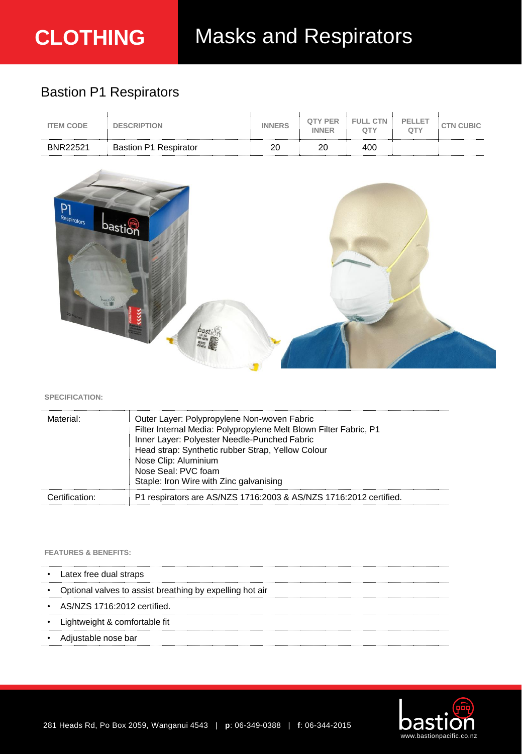# Bastion P1 Respirators

| <b>ITEM CODE</b> | <b>DESCRIPTION</b>           | <b>INNERS</b> | <b>OTY PER</b><br><b>INNFR</b> | FULL CTN<br>OTY | PELLET<br>ΩТΥ | <b>CTN CUBIC</b> |
|------------------|------------------------------|---------------|--------------------------------|-----------------|---------------|------------------|
| <b>BNR22521</b>  | <b>Bastion P1 Respirator</b> | 20            | or                             | 400             |               |                  |



# **SPECIFICATION:**

| Material:      | Outer Layer: Polypropylene Non-woven Fabric<br>Filter Internal Media: Polypropylene Melt Blown Filter Fabric, P1<br>Inner Layer: Polyester Needle-Punched Fabric<br>Head strap: Synthetic rubber Strap, Yellow Colour<br>Nose Clip: Aluminium<br>Nose Seal: PVC foam<br>Staple: Iron Wire with Zinc galvanising |
|----------------|-----------------------------------------------------------------------------------------------------------------------------------------------------------------------------------------------------------------------------------------------------------------------------------------------------------------|
| Certification: | P1 respirators are AS/NZS 1716:2003 & AS/NZS 1716:2012 certified.                                                                                                                                                                                                                                               |

# **FEATURES & BENEFITS:**

| ٠ | Latex free dual straps                                   |
|---|----------------------------------------------------------|
|   | Optional valves to assist breathing by expelling hot air |
| ٠ | AS/NZS 1716:2012 certified.                              |
|   | Lightweight & comfortable fit                            |
|   | Adjustable nose bar                                      |
|   |                                                          |